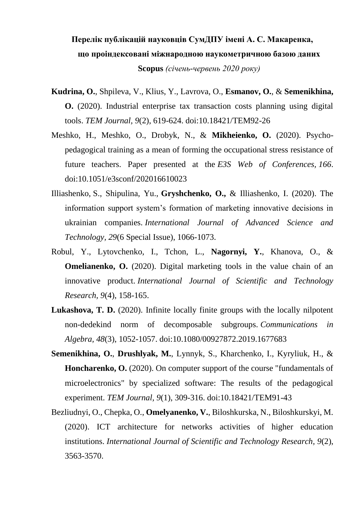## **Перелік публікацій науковців СумДПУ імені А. С. Макаренка, що проіндексовані міжнародною наукометричною базою даних Scopus** *(січень-червень 2020 року)*

- **Kudrina, O.**, Shpileva, V., Klius, Y., Lavrova, O., **Esmanov, O.**, & **Semenikhina, O.** (2020). Industrial enterprise tax transaction costs planning using digital tools. *TEM Journal, 9*(2), 619-624. doi:10.18421/TEM92-26
- Meshko, H., Meshko, O., Drobyk, N., & **Mikheienko, O.** (2020). Psychopedagogical training as a mean of forming the occupational stress resistance of future teachers. Paper presented at the *E3S Web of Conferences, 166*. doi:10.1051/e3sconf/202016610023
- Illiashenko, S., Shipulina, Yu., **Gryshchenko, O.,** & Illiashenko, I. (2020). The information support system's formation of marketing innovative decisions in ukrainian companies. *International Journal of Advanced Science and Technology, 29*(6 Special Issue), 1066-1073.
- Robul, Y., Lytovchenko, I., Tchon, L., **Nagornyi, Y.**, Khanova, O., & **Omelianenko, O.** (2020). Digital marketing tools in the value chain of an innovative product. *International Journal of Scientific and Technology Research, 9*(4), 158-165.
- **Lukashova, T. D.** (2020). Infinite locally finite groups with the locally nilpotent non-dedekind norm of decomposable subgroups. *Communications in Algebra, 48*(3), 1052-1057. doi:10.1080/00927872.2019.1677683
- **Semenikhina, O.**, **Drushlyak, M.**, Lynnyk, S., Kharchenko, I., Kyryliuk, H., & **Honcharenko, O.** (2020). On computer support of the course "fundamentals of microelectronics" by specialized software: The results of the pedagogical experiment. *TEM Journal, 9*(1), 309-316. doi:10.18421/TEM91-43
- Bezliudnyi, O., Chepka, O., **Omelyanenko, V.**, Biloshkurska, N., Biloshkurskyi, M. (2020). ICT architecture for networks activities of higher education institutions. *International Journal of Scientific and Technology Research, 9*(2), 3563-3570.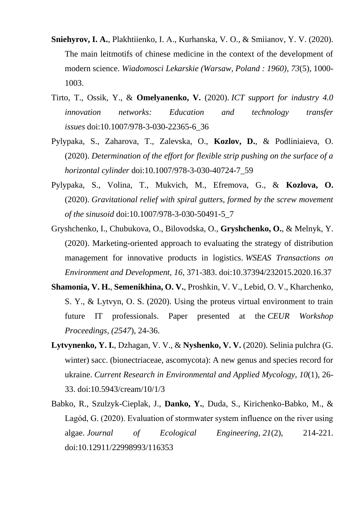- **Sniehyrov, I. A.**, Plakhtiienko, I. А., Kurhanska, V. O., & Smiianov, Y. V. (2020). The main leitmotifs of chinese medicine in the context of the development of modern science. *Wiadomosci Lekarskie (Warsaw, Poland : 1960), 73*(5), 1000- 1003.
- Tirto, T., Ossik, Y., & **Omelyanenko, V.** (2020). *ICT support for industry 4.0 innovation networks: Education and technology transfer issues* doi:10.1007/978-3-030-22365-6\_36
- Pylypaka, S., Zaharova, T., Zalevska, O., **Kozlov, D.**, & Podliniaieva, O. (2020). *Determination of the effort for flexible strip pushing on the surface of a horizontal cylinder* doi:10.1007/978-3-030-40724-7\_59
- Pylypaka, S., Volina, T., Mukvich, M., Efremova, G., & **Kozlova, O.** (2020). *Gravitational relief with spiral gutters, formed by the screw movement of the sinusoid* doi:10.1007/978-3-030-50491-5\_7
- Gryshchenko, I., Chubukova, O., Bilovodska, O., **Gryshchenko, O.**, & Melnyk, Y. (2020). Marketing-oriented approach to evaluating the strategy of distribution management for innovative products in logistics. *WSEAS Transactions on Environment and Development, 16*, 371-383. doi:10.37394/232015.2020.16.37
- **Shamonia, V. H.**, **Semenikhina, O. V.**, Proshkin, V. V., Lebid, O. V., Kharchenko, S. Y., & Lytvyn, O. S. (2020). Using the proteus virtual environment to train future IT professionals. Paper presented at the *CEUR Workshop Proceedings, (2547*), 24-36.
- **Lytvynenko, Y. I.**, Dzhagan, V. V., & **Nyshenko, V. V.** (2020). Selinia pulchra (G. winter) sacc. (bionectriaceae, ascomycota): A new genus and species record for ukraine. *Current Research in Environmental and Applied Mycology, 10*(1), 26- 33. doi:10.5943/cream/10/1/3
- Babko, R., Szulzyk-Cieplak, J., **Danko, Y.**, Duda, S., Kirichenko-Babko, M., & Lagód, G. (2020). Evaluation of stormwater system influence on the river using algae. *Journal of Ecological Engineering, 21*(2), 214-221. doi:10.12911/22998993/116353